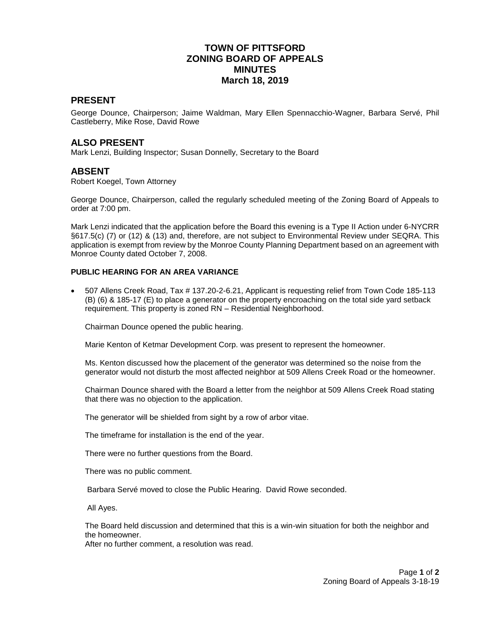# **TOWN OF PITTSFORD ZONING BOARD OF APPEALS MINUTES March 18, 2019**

### **PRESENT**

George Dounce, Chairperson; Jaime Waldman, Mary Ellen Spennacchio-Wagner, Barbara Servé, Phil Castleberry, Mike Rose, David Rowe

### **ALSO PRESENT**

Mark Lenzi, Building Inspector; Susan Donnelly, Secretary to the Board

#### **ABSENT**

Robert Koegel, Town Attorney

George Dounce, Chairperson, called the regularly scheduled meeting of the Zoning Board of Appeals to order at 7:00 pm.

Mark Lenzi indicated that the application before the Board this evening is a Type II Action under 6-NYCRR §617.5(c) (7) or (12) & (13) and, therefore, are not subject to Environmental Review under SEQRA. This application is exempt from review by the Monroe County Planning Department based on an agreement with Monroe County dated October 7, 2008.

#### **PUBLIC HEARING FOR AN AREA VARIANCE**

 507 Allens Creek Road, Tax # 137.20-2-6.21, Applicant is requesting relief from Town Code 185-113 (B) (6) & 185-17 (E) to place a generator on the property encroaching on the total side yard setback requirement. This property is zoned RN – Residential Neighborhood.

Chairman Dounce opened the public hearing.

Marie Kenton of Ketmar Development Corp. was present to represent the homeowner.

Ms. Kenton discussed how the placement of the generator was determined so the noise from the generator would not disturb the most affected neighbor at 509 Allens Creek Road or the homeowner.

Chairman Dounce shared with the Board a letter from the neighbor at 509 Allens Creek Road stating that there was no objection to the application.

The generator will be shielded from sight by a row of arbor vitae.

The timeframe for installation is the end of the year.

There were no further questions from the Board.

There was no public comment.

Barbara Servé moved to close the Public Hearing. David Rowe seconded.

All Ayes.

The Board held discussion and determined that this is a win-win situation for both the neighbor and the homeowner.

After no further comment, a resolution was read.